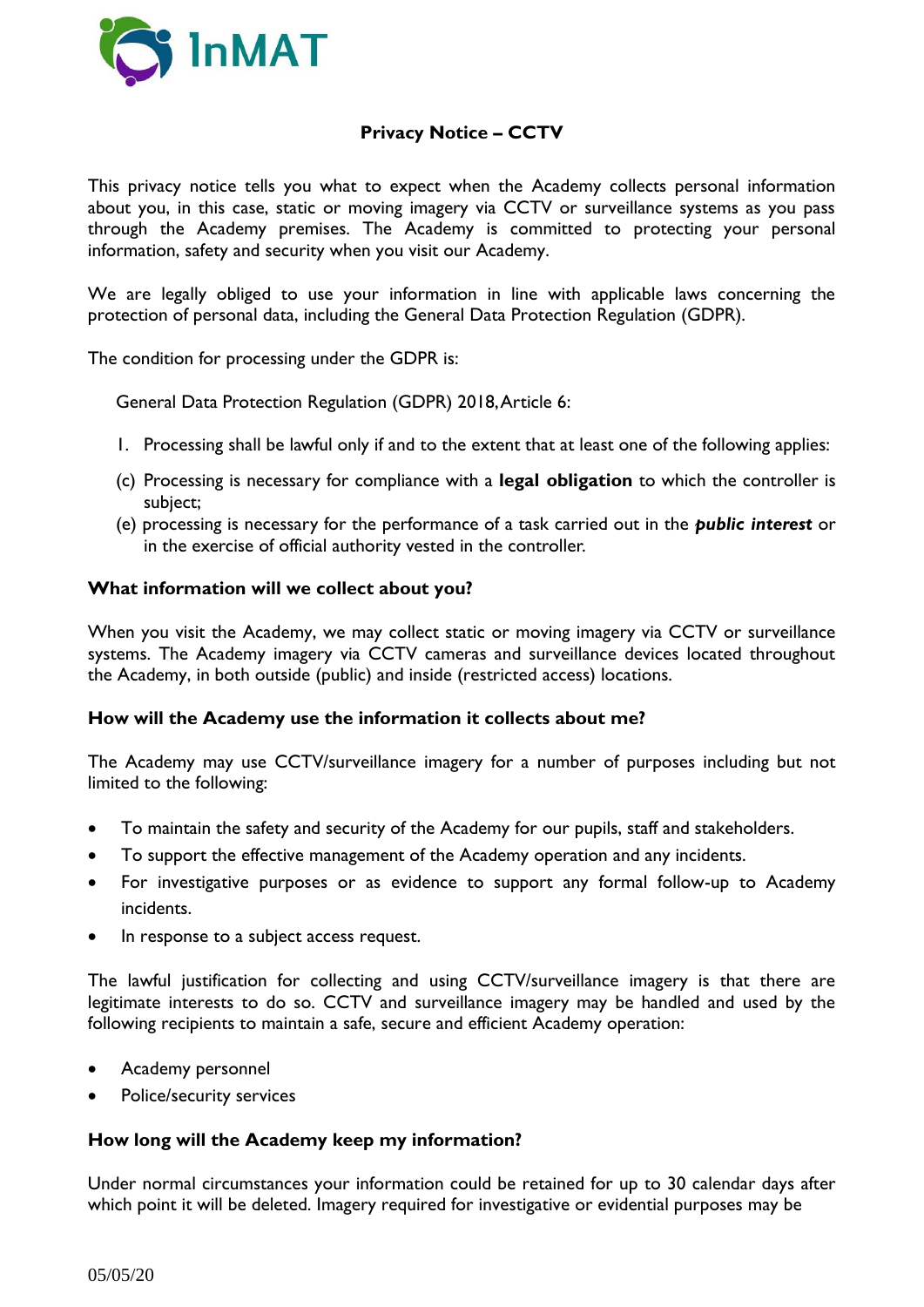

# **Privacy Notice – CCTV**

This privacy notice tells you what to expect when the Academy collects personal information about you, in this case, static or moving imagery via CCTV or surveillance systems as you pass through the Academy premises. The Academy is committed to protecting your personal information, safety and security when you visit our Academy.

We are legally obliged to use your information in line with applicable laws concerning the protection of personal data, including the General Data Protection Regulation (GDPR).

The condition for processing under the GDPR is:

General Data Protection Regulation (GDPR) 2018, Article 6:

- 1. Processing shall be lawful only if and to the extent that at least one of the following applies:
- (c) Processing is necessary for compliance with a **legal obligation** to which the controller is subject;
- (e) processing is necessary for the performance of a task carried out in the *public interest* or in the exercise of official authority vested in the controller.

## **What information will we collect about you?**

When you visit the Academy, we may collect static or moving imagery via CCTV or surveillance systems. The Academy imagery via CCTV cameras and surveillance devices located throughout the Academy, in both outside (public) and inside (restricted access) locations.

## **How will the Academy use the information it collects about me?**

The Academy may use CCTV/surveillance imagery for a number of purposes including but not limited to the following:

- To maintain the safety and security of the Academy for our pupils, staff and stakeholders.
- To support the effective management of the Academy operation and any incidents.
- For investigative purposes or as evidence to support any formal follow-up to Academy incidents.
- In response to a subject access request.

The lawful justification for collecting and using CCTV/surveillance imagery is that there are legitimate interests to do so. CCTV and surveillance imagery may be handled and used by the following recipients to maintain a safe, secure and efficient Academy operation:

- Academy personnel
- Police/security services

## **How long will the Academy keep my information?**

Under normal circumstances your information could be retained for up to 30 calendar days after which point it will be deleted. Imagery required for investigative or evidential purposes may be